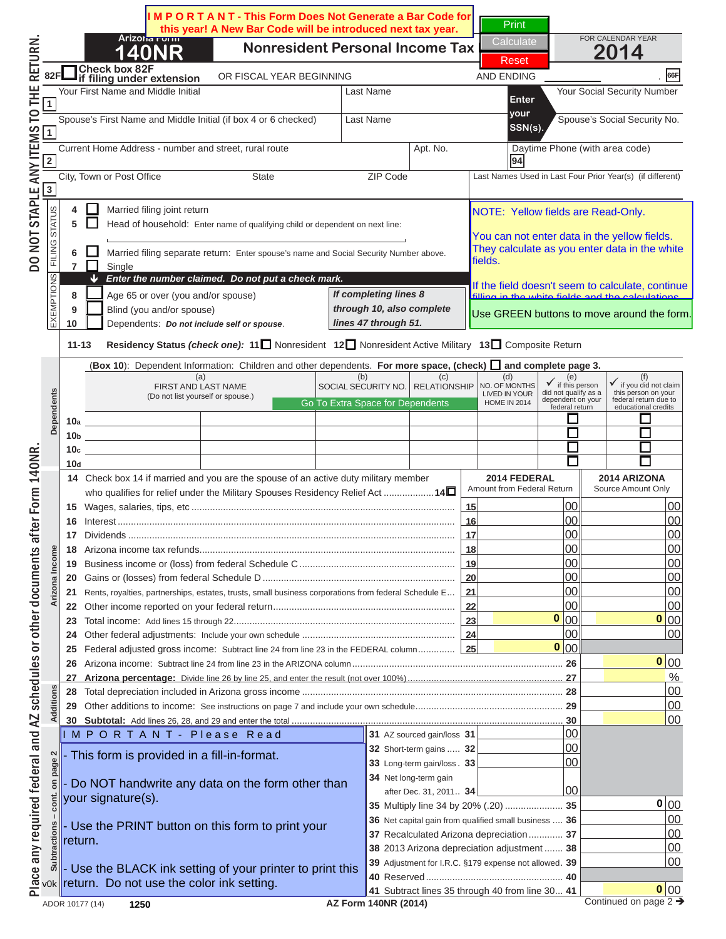

Current Home Address - number and street, rural route Apt. No. Daytime Phone (with area code) N O T I C E

#### **88R REVAURE:** Yellow fields are Read-Only. **EDIC IC NICLE O COMMO CALLER**  $\bf U$   $\bf U$   $\bf U$   $\bf U$ **10** Dependents: *Do not include self or spouse*.  **11-13 Residency Status** *(check one):* **<sup>11</sup>** Nonresident **12** Nonresident Active Military **13** Composite Return FILING STATUS EXEMPTIONS *Enter the number claimed. Do not put a check mark.* **<sup>4</sup>** Married filing joint return **<sup>5</sup>** Head of household: Enter name of qualifying child or dependent on next line: revou are viewing thi **If you can not enter data in the yellow fields. If is a substrainant proper conter data in the white** whith  $\frac{1}{\pi}$  **They calculate as you enter data in the white** (**Box 10**): Dependent Information: Children and other dependents. **For more space, (check) and complete page 3. 10a 10b 10c 10d 14** Check box 14 if married and you are the spouse of an active duty military member who nonintal <u>complete in a military Spouse</u> **2014 FEDERAL** A ratu Source Amount Only To print a completed return: **16** Interest ................................................................................................................................ **16** 00 00 **17** Dividends ............................................................................................................................ **17** 00 00 **18** Arizona income tax refunds................................................................................................. **18** 00 00 click on the PRINT button. *If completing lines 8*  **this is is NOT a complete** the field doesn't seem to calculate, contribution of the colour of the colour of the colour of the colour of the colour of the colour of the colour of the colour of the colour of the colour of t *lines 47 through 51.* You can not enter data in the yellow fields. They calculate as you enter data in the white fields. If the field doesn't seem to calculate, continue filling in the white fields and the calculations  $\overline{I}$   $\overline{I}$   $\overline{C}$   $\overline{C}$   $\overline{C}$   $\overline{C}$   $\overline{C}$   $\overline{C}$   $\overline{C}$   $\overline{C}$   $\overline{C}$   $\overline{C}$   $\overline{C}$   $\overline{C}$   $\overline{C}$   $\overline{C}$   $\overline{C}$   $\overline{C}$   $\overline{C}$   $\overline{C}$   $\overline{C}$   $\overline{C}$   $\overline{C}$   $\overline{C}$   $\overline{$ Use GREEN buttons to move around the form. Go To Extra Space for Dependents

#### **23** Total income: Add lines 15 through 22 .................................................................................... **23** 00 00 **24** Other federal adjustments: Include your own schedule .......................................................... **24** 00 00 **25** Federal adjusted gross income: Subtract line 24 from line 23 in the FEDERAL column .............. **25** 00 Clicking the PRINT button **27 Arizona percentage:** Divide line 26 by line 25, and enter the result (not over 100%) ........................................................... **27** % **28** Total depreciation included in Arizona gross income ................................................................................................... **28** 00 will perform the calculations **0 0 0 0**

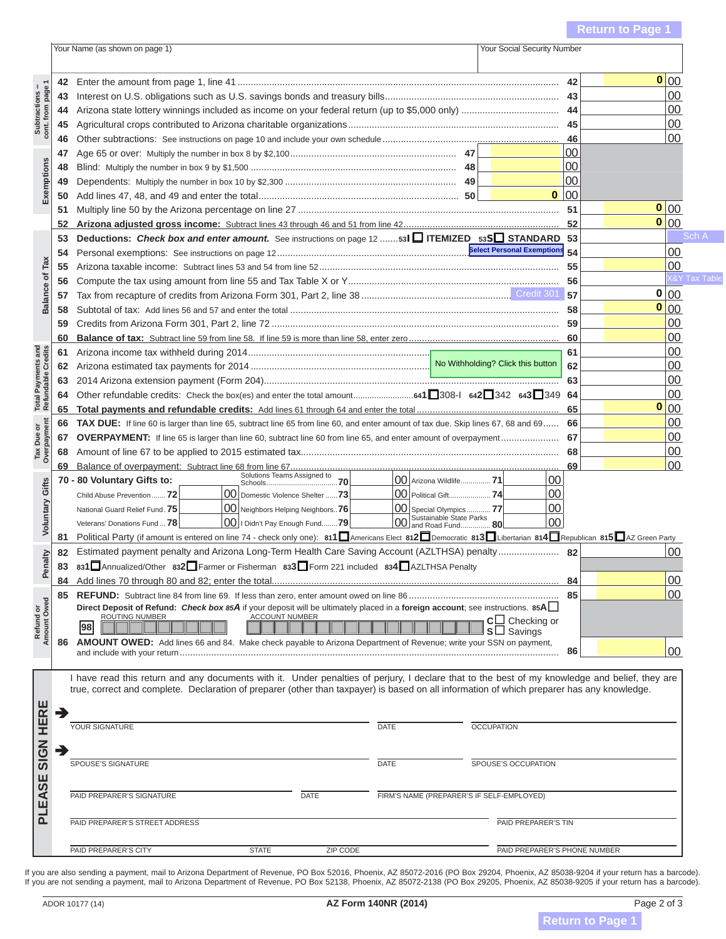

To print a completed return: Political Party (if amount is entered on line 74 - check only one): **811**Americans Elect **<sup>812</sup>**Democratic **<sup>813</sup>**Libertarian **<sup>814</sup>**Republican **<sup>815</sup>**AZ Green Party Estimated payment penalty and Arizona Long-Term Health Care Saving Account (AZLTHSA) penalty ....................... **82** 00 **832 832 832 832 833 833 833 833 834 835 834 835 835 835 835 835 835 835 835 835 835 835 835 835 835 835 835 835 835 835 835 835 835 835 835 835**

## **<sup>98</sup> <sup>C</sup>** Checking or Clicking the DDINIT huttor. Clicking the PRINT button true, correct and complete. Declaration of preparer (other than taxpayer) is based on all information of which preparer has any knowledge. will perform the calculations SPOUSE THE SPOUSE IS STOLEN TO DRIVING SPOUSE PAID PREPARER'S SIGNATURE DATE FIRM'S NAME (PREPARER'S IF SELF-EMPLOYED) update the barcode. one last time and

### ADOR 10177 (14) **AZ Form 140NR (2014)** Page 2 of 3 If you are not sending a payment, mail to Arizona Department of Revenue, PO Box 52138, Phoenix, AZ 85072-2138 (PO Box 29205, Phoenix, AZ 85038-9205 if your return has a barcode). N O T I C E

**Return to Page**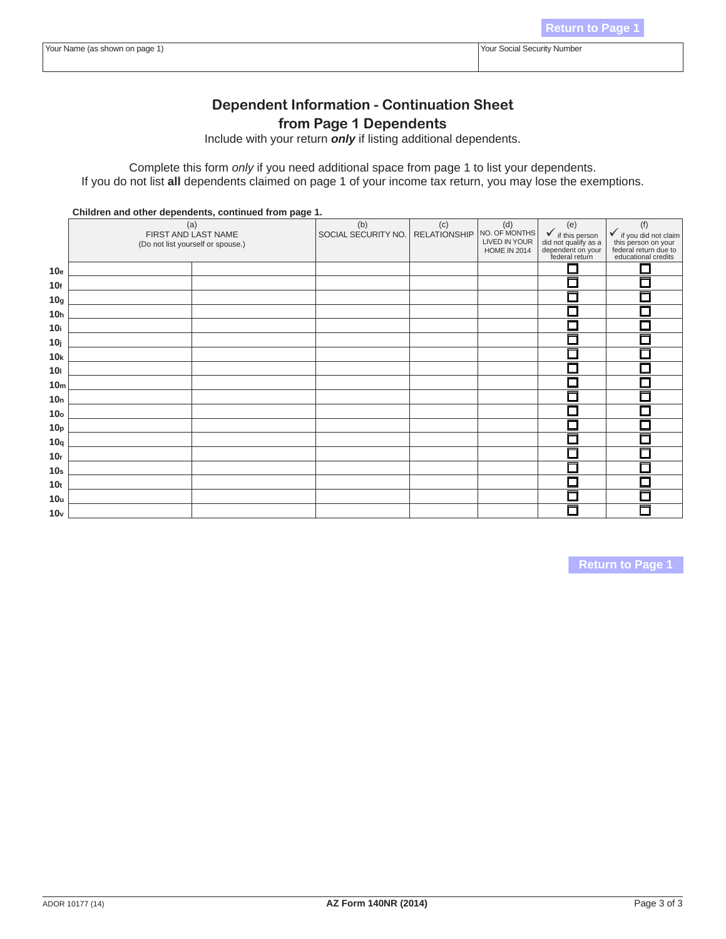# N O T I C E Complete this form *only* if you need additional space from page 1 to list your dependents. If you do not list **all** dependents claimed on page 1 of your income tax return, you may lose the exemptions. N O T I C E

u are viewing this mosses If you are viewing this message. If you are viewing this message,  $\mathbf{10}$ ga is  $\mathbf{N}$  $\mathbf{AT}$  s somewhats  $\mathbf{r} \in \mathbb{R}$ **10hr is NULLA complete return 10 INSTERNATION IN THE CITY OF CHAIR 10j 10k 10l 10m 10n 10o** 10pp - 10pp - 10pp - 10pp - 10pp - 10pp - 10pp - 10pp - 10pp - 10pp - 10pp - 10pp - 10pp - 10pp - 10pp - 10pp -<br>10pp - 10pp - 10pp - 10pp - 10pp - 10pp - 10pp - 10pp - 10pp - 10pp - 10pp - 10pp - 10pp - 10pp - 10pp - 10pp<br> **10q 10r 10s 10t**  $T_{\alpha}$   $\alpha$ <sup>u</sup>nt  $\alpha$   $\alpha$  $\alpha$  $\alpha$  $\alpha$  $\alpha$  $\alpha$  $\alpha$  $\alpha$  $\alpha$ **10 Drint a completed return - a** this is NOT a complete refurn $\frac{1}{2}$ To print a completed return: click on the PRINT button **Return to Page 1**

Clicking the PRINT button will perform the calculations one last time and update the barcode.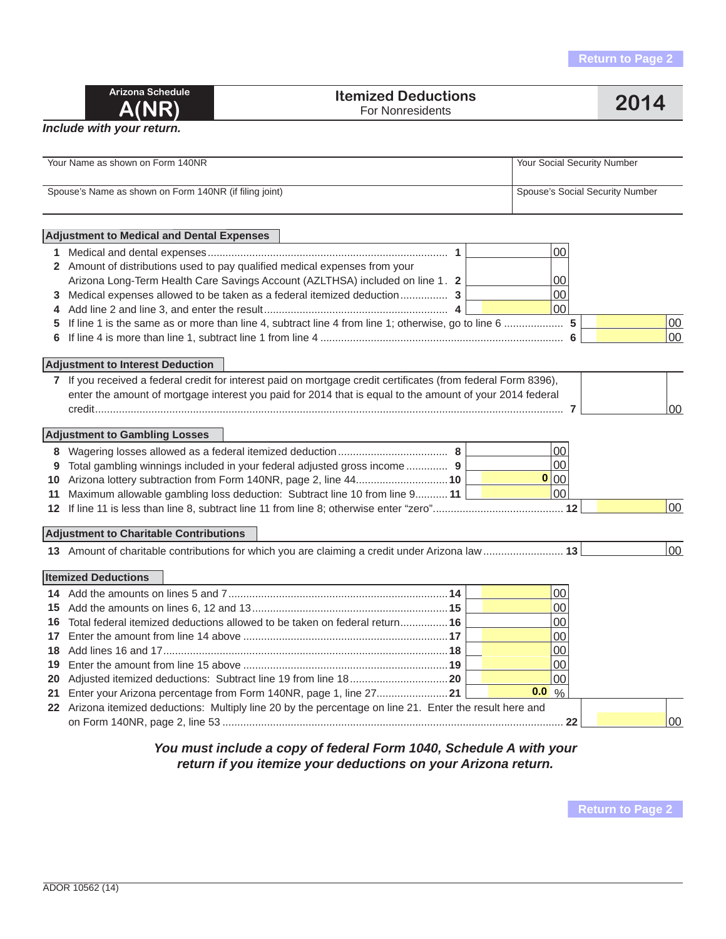| Arizona Schedule |
|------------------|
| <b>A(NR)</b>     |

#### **Itemized Deductions Properties Accepted Deductions**<br>
For Nonresidents

### *Include with your return.*

|    | Your Name as shown on Form 140NR                                                                               | Your Social Security Number     |                 |
|----|----------------------------------------------------------------------------------------------------------------|---------------------------------|-----------------|
|    | Spouse's Name as shown on Form 140NR (if filing joint)                                                         | Spouse's Social Security Number |                 |
|    | <b>Adjustment to Medical and Dental Expenses</b>                                                               |                                 |                 |
| 1. |                                                                                                                | 00                              |                 |
|    | 2 Amount of distributions used to pay qualified medical expenses from your                                     |                                 |                 |
|    | Arizona Long-Term Health Care Savings Account (AZLTHSA) included on line 1. 2                                  | 00                              |                 |
| 3  | Medical expenses allowed to be taken as a federal itemized deduction 3                                         | 00                              |                 |
| 4  |                                                                                                                | 0 <sup>0</sup>                  |                 |
| 5  |                                                                                                                |                                 | 00              |
|    |                                                                                                                |                                 | $00 \,$         |
|    | <b>Adjustment to Interest Deduction</b>                                                                        |                                 |                 |
|    | 7 If you received a federal credit for interest paid on mortgage credit certificates (from federal Form 8396), |                                 |                 |
|    | enter the amount of mortgage interest you paid for 2014 that is equal to the amount of your 2014 federal       |                                 |                 |
|    |                                                                                                                |                                 | 00 <sup>°</sup> |
|    |                                                                                                                |                                 |                 |
|    | <b>Adjustment to Gambling Losses</b>                                                                           |                                 |                 |
|    |                                                                                                                | 00                              |                 |
| 9  | Total gambling winnings included in your federal adjusted gross income 9                                       | 00                              |                 |
|    | 10 Arizona lottery subtraction from Form 140NR, page 2, line 4410                                              | 0 00                            |                 |
| 11 | Maximum allowable gambling loss deduction: Subtract line 10 from line 9 11                                     | 00                              |                 |
|    |                                                                                                                |                                 | 00              |
|    | <b>Adjustment to Charitable Contributions</b>                                                                  |                                 |                 |
|    | 13 Amount of charitable contributions for which you are claiming a credit under Arizona law  13                |                                 | 00              |
|    |                                                                                                                |                                 |                 |
|    | <b>Itemized Deductions</b>                                                                                     |                                 |                 |
|    |                                                                                                                | 00                              |                 |
|    |                                                                                                                | 00                              |                 |
| 16 | Total federal itemized deductions allowed to be taken on federal return 16                                     | 00                              |                 |
| 17 |                                                                                                                | 00                              |                 |
| 18 |                                                                                                                | 00                              |                 |
| 19 |                                                                                                                | 00                              |                 |
| 20 |                                                                                                                | 00                              |                 |
| 21 |                                                                                                                | $0.0\%$                         |                 |
|    | 22 Arizona itemized deductions: Multiply line 20 by the percentage on line 21. Enter the result here and       |                                 |                 |
|    |                                                                                                                |                                 | 00              |
|    |                                                                                                                |                                 |                 |

### *You must include a copy of federal Form 1040, Schedule A with your return if you itemize your deductions on your Arizona return.*

**Return to Page 2**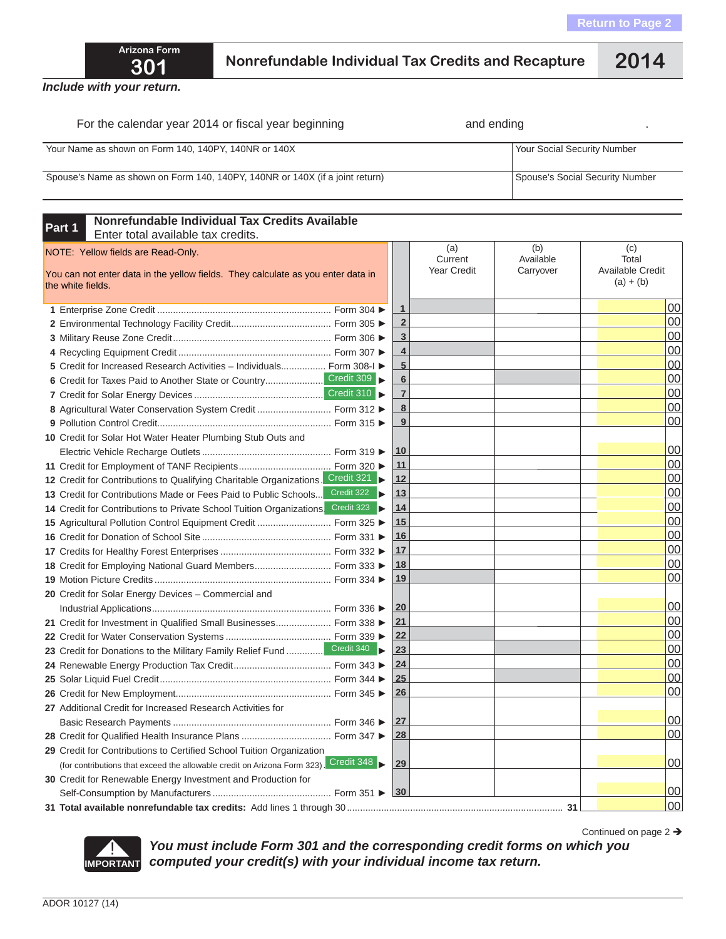Continued on page 2  $\rightarrow$ 



## **301 Nonrefundable Individual Tax Credits and Recapture 2014**

*Include with your return.*

| For the calendar year 2014 or fiscal year beginning                          | and ending                      |
|------------------------------------------------------------------------------|---------------------------------|
| Your Name as shown on Form 140, 140PY, 140NR or 140X                         | Your Social Security Number     |
| Spouse's Name as shown on Form 140, 140PY, 140NR or 140X (if a joint return) | Spouse's Social Security Number |

| Nonrefundable Individual Tax Credits Available<br>Part 1<br>Enter total available tax credits.                                              |                 |                |                                      |                               |                                                 |
|---------------------------------------------------------------------------------------------------------------------------------------------|-----------------|----------------|--------------------------------------|-------------------------------|-------------------------------------------------|
| NOTE: Yellow fields are Read-Only.<br>You can not enter data in the yellow fields. They calculate as you enter data in<br>the white fields. |                 |                | (a)<br>Current<br><b>Year Credit</b> | (b)<br>Available<br>Carryover | (C)<br>Total<br>Available Credit<br>$(a) + (b)$ |
|                                                                                                                                             |                 | $\mathbf{1}$   |                                      |                               | 00                                              |
|                                                                                                                                             |                 | $\overline{2}$ |                                      |                               | 00                                              |
|                                                                                                                                             |                 | 3              |                                      |                               | 00                                              |
|                                                                                                                                             |                 | 4              |                                      |                               | 00                                              |
| 5 Credit for Increased Research Activities - Individuals Form 308-I ►                                                                       |                 | 5              |                                      |                               | 00                                              |
|                                                                                                                                             |                 | $6\phantom{1}$ |                                      |                               | 00                                              |
|                                                                                                                                             |                 | $\overline{7}$ |                                      |                               | 00                                              |
| 8 Agricultural Water Conservation System Credit  Form 312 ▶                                                                                 |                 | 8              |                                      |                               | 00                                              |
|                                                                                                                                             |                 | 9              |                                      |                               | 00                                              |
| 10 Credit for Solar Hot Water Heater Plumbing Stub Outs and                                                                                 |                 |                |                                      |                               |                                                 |
|                                                                                                                                             |                 | 10             |                                      |                               | 00                                              |
|                                                                                                                                             |                 | 11             |                                      |                               | 00                                              |
| 12 Credit for Contributions to Qualifying Charitable Organizations. Credit 321                                                              |                 | 12             |                                      |                               | 00                                              |
| 13 Credit for Contributions Made or Fees Paid to Public Schools                                                                             | Credit 322<br>Þ | 13             |                                      |                               | 00                                              |
| 14 Credit for Contributions to Private School Tuition Organizations. Credit 323                                                             |                 | 14             |                                      |                               | 00                                              |
| 15 Agricultural Pollution Control Equipment Credit  Form 325 ▶                                                                              |                 | 15             |                                      |                               | 00                                              |
|                                                                                                                                             |                 | 16             |                                      |                               | 00                                              |
|                                                                                                                                             |                 | 17             |                                      |                               | 00                                              |
| 18 Credit for Employing National Guard Members Form 333 ▶                                                                                   |                 | 18             |                                      |                               | 00                                              |
|                                                                                                                                             |                 | 19             |                                      |                               | 00                                              |
| 20 Credit for Solar Energy Devices - Commercial and                                                                                         |                 |                |                                      |                               |                                                 |
|                                                                                                                                             |                 | 20             |                                      |                               | 00                                              |
| 21 Credit for Investment in Qualified Small Businesses Form 338 ▶                                                                           |                 | 21             |                                      |                               | 00                                              |
|                                                                                                                                             |                 | 22             |                                      |                               | 00                                              |
| 23 Credit for Donations to the Military Family Relief Fund  Credit 340                                                                      |                 | 23             |                                      |                               | 00                                              |
|                                                                                                                                             |                 | 24             |                                      |                               | 00                                              |
|                                                                                                                                             |                 | 25             |                                      |                               | 00                                              |
|                                                                                                                                             |                 | 26             |                                      |                               | 00                                              |
| 27 Additional Credit for Increased Research Activities for                                                                                  |                 |                |                                      |                               |                                                 |
|                                                                                                                                             |                 | 27             |                                      |                               | 00                                              |
| 28 Credit for Qualified Health Insurance Plans  Form 347 ▶                                                                                  |                 | 28             |                                      |                               | 00                                              |
| 29 Credit for Contributions to Certified School Tuition Organization                                                                        |                 |                |                                      |                               |                                                 |
| (for contributions that exceed the allowable credit on Arizona Form 323). Credit 348                                                        |                 | 29             |                                      |                               | 00                                              |
| 30 Credit for Renewable Energy Investment and Production for                                                                                |                 |                |                                      |                               |                                                 |
|                                                                                                                                             |                 | 30             |                                      |                               | 00                                              |
|                                                                                                                                             |                 |                |                                      |                               | 00                                              |



*You must include Form 301 and the corresponding credit forms on which you*  **IMPORTANT** *computed your credit(s) with your individual income tax return.*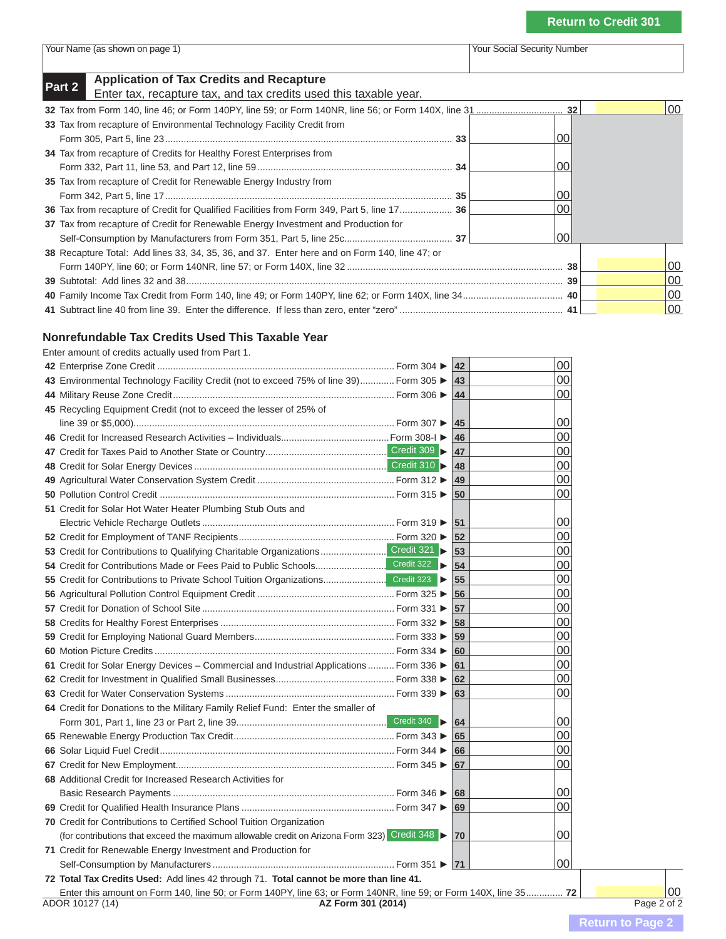| Your Name (as shown on page 1) |  |  |  |  |  |
|--------------------------------|--|--|--|--|--|
|--------------------------------|--|--|--|--|--|

Your Social Security Number

## **Part 2 Application of Tax Credits and Recapture**<br>
Enter tax, recapture tax, and tax credits used this taxable year.

|                                                                                               |    | 100 |
|-----------------------------------------------------------------------------------------------|----|-----|
| 33 Tax from recapture of Environmental Technology Facility Credit from                        |    |     |
|                                                                                               | იი |     |
| 34 Tax from recapture of Credits for Healthy Forest Enterprises from                          |    |     |
|                                                                                               | 00 |     |
| 35 Tax from recapture of Credit for Renewable Energy Industry from                            |    |     |
|                                                                                               | 00 |     |
| 36 Tax from recapture of Credit for Qualified Facilities from Form 349, Part 5, line 17 36    | 00 |     |
| 37 Tax from recapture of Credit for Renewable Energy Investment and Production for            |    |     |
|                                                                                               | 00 |     |
| 38 Recapture Total: Add lines 33, 34, 35, 36, and 37. Enter here and on Form 140, line 47; or |    |     |
|                                                                                               |    | 100 |
|                                                                                               | 39 | 100 |
|                                                                                               |    | 100 |
|                                                                                               |    | 100 |

#### **Nonrefundable Tax Credits Used This Taxable Year**

Enter amount of credits actually used from Part 1.

|                                                                                                                  | <b>42</b> | 00 |             |
|------------------------------------------------------------------------------------------------------------------|-----------|----|-------------|
| 43 Environmental Technology Facility Credit (not to exceed 75% of line 39) Form 305                              | <b>43</b> | 00 |             |
|                                                                                                                  | 44        | 00 |             |
| 45 Recycling Equipment Credit (not to exceed the lesser of 25% of                                                |           |    |             |
|                                                                                                                  | 45        | 00 |             |
|                                                                                                                  | 46        | 00 |             |
|                                                                                                                  | 47        | 00 |             |
|                                                                                                                  | 48        | 00 |             |
|                                                                                                                  | 49        | 00 |             |
|                                                                                                                  | 50        | 00 |             |
| 51 Credit for Solar Hot Water Heater Plumbing Stub Outs and                                                      |           |    |             |
|                                                                                                                  | 51        | 00 |             |
|                                                                                                                  | 52        | 00 |             |
| 53 Credit for Contributions to Qualifying Charitable Organizations Credit 321                                    | 53        | 00 |             |
|                                                                                                                  | 54        | 00 |             |
| 55 Credit for Contributions to Private School Tuition Organizations Credit 323                                   | 55        | 00 |             |
|                                                                                                                  | 56        | 00 |             |
|                                                                                                                  | 57        | 00 |             |
|                                                                                                                  | 58        | 00 |             |
|                                                                                                                  | 59        | 00 |             |
|                                                                                                                  | 60        | 00 |             |
| 61 Credit for Solar Energy Devices - Commercial and Industrial Applications  Form 336 ▶                          | 61        | 00 |             |
|                                                                                                                  | 62        | 00 |             |
|                                                                                                                  | 63        | 00 |             |
| 64 Credit for Donations to the Military Family Relief Fund: Enter the smaller of                                 |           |    |             |
|                                                                                                                  | 64        | 00 |             |
|                                                                                                                  | 65        | 00 |             |
|                                                                                                                  | 66        | 00 |             |
|                                                                                                                  | 67        | 00 |             |
| 68 Additional Credit for Increased Research Activities for                                                       |           |    |             |
|                                                                                                                  | 68        | 00 |             |
|                                                                                                                  | 69        | 00 |             |
| <b>70</b> Credit for Contributions to Certified School Tuition Organization                                      |           |    |             |
| (for contributions that exceed the maximum allowable credit on Arizona Form 323) Credit 348                      | 70        | 00 |             |
| 71 Credit for Renewable Energy Investment and Production for                                                     |           |    |             |
|                                                                                                                  |           | 00 |             |
| 72 Total Tax Credits Used: Add lines 42 through 71. Total cannot be more than line 41.                           |           |    |             |
| Enter this amount on Form 140, line 50; or Form 140PY, line 63; or Form 140NR, line 59; or Form 140X, line 35 72 |           |    | 00          |
| ADOR 10127 (14)<br>AZ Form 301 (2014)                                                                            |           |    | Page 2 of 2 |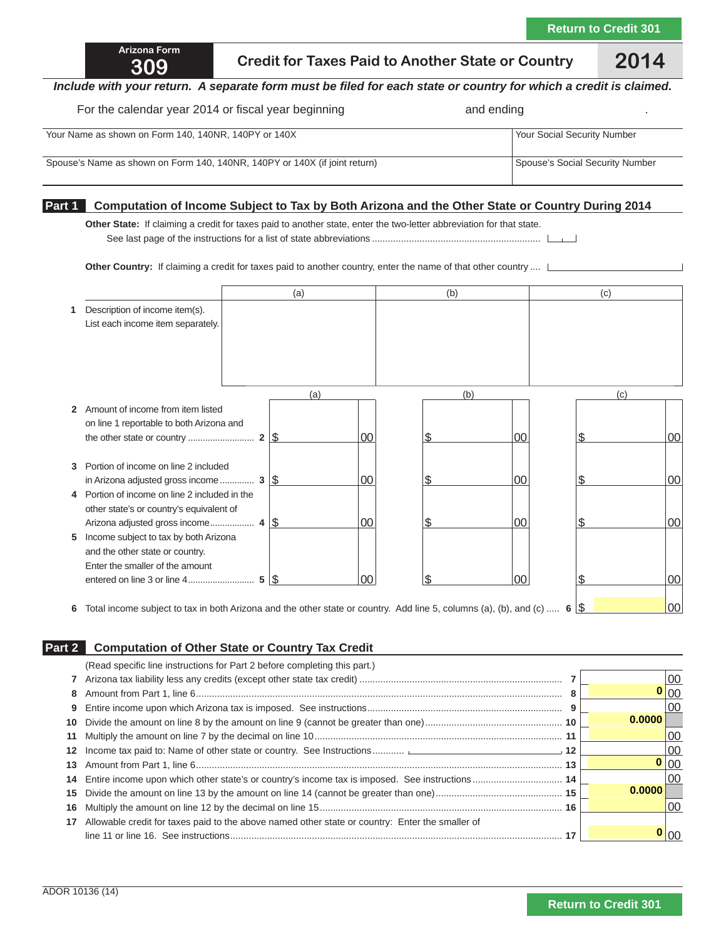## **309 Credit for Taxes Paid to Another State or Country 2014**

#### *Include with your return. A separate form must be filed for each state or country for which a credit is claimed.*

#### For the calendar year 2014 or fiscal year beginning **and and ending** and ending

| Your Name as shown on Form 140, 140NR, 140PY or 140X                       | <b>Your Social Security Number</b> |
|----------------------------------------------------------------------------|------------------------------------|
| Spouse's Name as shown on Form 140, 140NR, 140PY or 140X (if joint return) | Spouse's Social Security Number    |

#### **Part 1 Computation of Income Subject to Tax by Both Arizona and the Other State or Country During 2014**

**Other State:** If claiming a credit for taxes paid to another state, enter the two-letter abbreviation for that state. See last page of the instructions for a list of state abbreviations ................................................................

**Other Country:** If claiming a credit for taxes paid to another country, enter the name of that other country ....  $\Box$ 

|              |                                                                                                        | (a) |    | (b) |    | (c) |     |
|--------------|--------------------------------------------------------------------------------------------------------|-----|----|-----|----|-----|-----|
|              | Description of income item(s).                                                                         |     |    |     |    |     |     |
|              | List each income item separately.                                                                      |     |    |     |    |     |     |
|              |                                                                                                        |     |    |     |    |     |     |
|              |                                                                                                        |     |    |     |    |     |     |
|              |                                                                                                        |     |    |     |    |     |     |
|              |                                                                                                        | (a) |    | (b) |    | (c) |     |
| $\mathbf{2}$ | Amount of income from item listed                                                                      |     |    |     |    |     |     |
|              | on line 1 reportable to both Arizona and                                                               |     |    |     |    |     |     |
|              |                                                                                                        |     | 00 | ß.  | 00 | S   | 100 |
|              |                                                                                                        |     |    |     |    |     |     |
| 3            | Portion of income on line 2 included                                                                   |     |    | S   | 00 | S   |     |
| 4            | in Arizona adjusted gross income $3 \sqrt{\frac{5}{2}}$<br>Portion of income on line 2 included in the |     | 00 |     |    |     | 00  |
|              | other state's or country's equivalent of                                                               |     |    |     |    |     |     |
|              |                                                                                                        |     | 00 | ß.  | 00 | S   | 00  |
| 5            | Income subject to tax by both Arizona                                                                  |     |    |     |    |     |     |
|              | and the other state or country.                                                                        |     |    |     |    |     |     |
|              | Enter the smaller of the amount                                                                        |     |    |     |    |     |     |
|              |                                                                                                        |     | ΩO |     | ΩO |     | 00  |

**6** Total income subject to tax in both Arizona and the other state or country. Add line 5, columns (a), (b), and (c) ..... **6** \$ 00

#### **Part 2 Computation of Other State or Country Tax Credit**

|    | (Read specific line instructions for Part 2 before completing this part.)                       |  |        |
|----|-------------------------------------------------------------------------------------------------|--|--------|
|    |                                                                                                 |  | 00     |
| 8  |                                                                                                 |  | 100    |
| 9  |                                                                                                 |  | 00     |
| 10 |                                                                                                 |  | 0.0000 |
| 11 |                                                                                                 |  | 00     |
| 12 |                                                                                                 |  | 00     |
| 13 |                                                                                                 |  | 0 00   |
| 14 |                                                                                                 |  | 00     |
| 15 |                                                                                                 |  | 0.0000 |
| 16 |                                                                                                 |  | 00     |
| 17 | Allowable credit for taxes paid to the above named other state or country: Enter the smaller of |  |        |
|    |                                                                                                 |  | IOC    |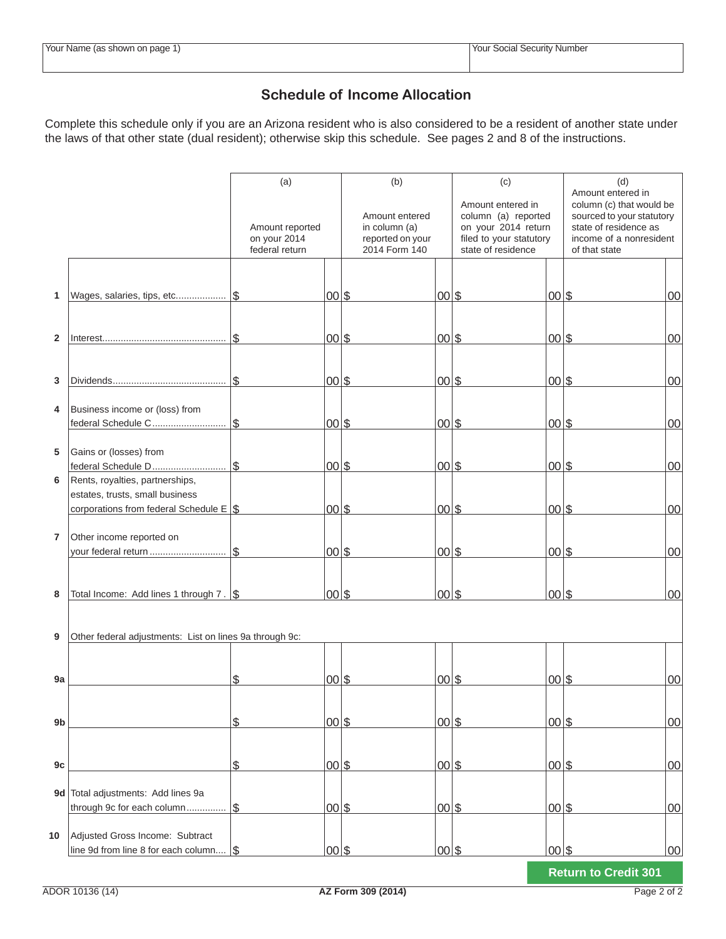### **Schedule of Income Allocation**

Complete this schedule only if you are an Arizona resident who is also considered to be a resident of another state under the laws of that other state (dual resident); otherwise skip this schedule. See pages 2 and 8 of the instructions.

|                |                                                                  | (a)                                               |           | (b)                                                                  |                      | (c)                                                                                                              |                      | (d)<br>Amount entered in                                                                                                   |        |
|----------------|------------------------------------------------------------------|---------------------------------------------------|-----------|----------------------------------------------------------------------|----------------------|------------------------------------------------------------------------------------------------------------------|----------------------|----------------------------------------------------------------------------------------------------------------------------|--------|
|                |                                                                  | Amount reported<br>on your 2014<br>federal return |           | Amount entered<br>in column (a)<br>reported on your<br>2014 Form 140 |                      | Amount entered in<br>column (a) reported<br>on your 2014 return<br>filed to your statutory<br>state of residence |                      | column (c) that would be<br>sourced to your statutory<br>state of residence as<br>income of a nonresident<br>of that state |        |
|                |                                                                  |                                                   |           |                                                                      |                      |                                                                                                                  |                      |                                                                                                                            |        |
|                |                                                                  |                                                   |           |                                                                      |                      |                                                                                                                  |                      |                                                                                                                            |        |
| $\mathbf{1}$   | Wages, salaries, tips, etc                                       | $\mathfrak{L}$                                    | $00\,$ \$ |                                                                      | $00\,$ \$            |                                                                                                                  | $00\,$ \$            |                                                                                                                            | 00     |
|                |                                                                  |                                                   |           |                                                                      |                      |                                                                                                                  |                      |                                                                                                                            |        |
| $\mathbf{2}$   |                                                                  | $\mathbb S$                                       | $00\,$ \$ |                                                                      | $00\,$ \$            |                                                                                                                  | $00\,$ \$            |                                                                                                                            | 00     |
|                |                                                                  |                                                   |           |                                                                      |                      |                                                                                                                  |                      |                                                                                                                            |        |
|                |                                                                  |                                                   |           |                                                                      |                      |                                                                                                                  |                      |                                                                                                                            |        |
| 3              |                                                                  | \$                                                | $00\,$ \$ |                                                                      | $00\,$ \$            |                                                                                                                  | $00\,$ \$            |                                                                                                                            | 00     |
| 4              | Business income or (loss) from                                   |                                                   |           |                                                                      |                      |                                                                                                                  |                      |                                                                                                                            |        |
|                | federal Schedule C                                               | $\mathbb S$                                       | $00\,$ \$ |                                                                      | $00\,$ \$            |                                                                                                                  | $00\,$ \$            |                                                                                                                            | 00     |
|                |                                                                  |                                                   |           |                                                                      |                      |                                                                                                                  |                      |                                                                                                                            |        |
| 5              | Gains or (losses) from<br>federal Schedule D                     | $\mathfrak{L}$                                    | $00\,$ \$ |                                                                      | $00\,$ \$            |                                                                                                                  | $00\,$ \$            |                                                                                                                            | 00     |
| 6              | Rents, royalties, partnerships,                                  |                                                   |           |                                                                      |                      |                                                                                                                  |                      |                                                                                                                            |        |
|                | estates, trusts, small business                                  |                                                   |           |                                                                      |                      |                                                                                                                  |                      |                                                                                                                            |        |
|                | corporations from federal Schedule $E$ \ \$                      |                                                   | $00\,$ \$ |                                                                      | $00\,$ \$            |                                                                                                                  | $00\,$ \$            |                                                                                                                            | 00     |
|                |                                                                  |                                                   |           |                                                                      |                      |                                                                                                                  |                      |                                                                                                                            |        |
| $\overline{7}$ | Other income reported on                                         |                                                   |           |                                                                      |                      |                                                                                                                  |                      |                                                                                                                            |        |
|                | your federal return                                              | $\mathbb S$                                       | $00\,$ \$ |                                                                      | $00\,$ \$            |                                                                                                                  | $00\,$ \$            |                                                                                                                            | 00     |
|                |                                                                  |                                                   |           |                                                                      |                      |                                                                                                                  |                      |                                                                                                                            |        |
| 8              | Total Income: Add lines 1 through $7 \cdot  S $                  |                                                   | $00\,$ \$ |                                                                      | $00\,$ \$            |                                                                                                                  | $ 00 $ \$            |                                                                                                                            | 00     |
|                |                                                                  |                                                   |           |                                                                      |                      |                                                                                                                  |                      |                                                                                                                            |        |
|                |                                                                  |                                                   |           |                                                                      |                      |                                                                                                                  |                      |                                                                                                                            |        |
| 9              | Other federal adjustments: List on lines 9a through 9c:          |                                                   |           |                                                                      |                      |                                                                                                                  |                      |                                                                                                                            |        |
|                |                                                                  |                                                   |           |                                                                      |                      |                                                                                                                  |                      |                                                                                                                            |        |
| 9a             |                                                                  | \$                                                | $ 00 $ \$ |                                                                      | $00\,$ \$            |                                                                                                                  | $00\vert\mathcal{S}$ |                                                                                                                            | 00     |
|                |                                                                  |                                                   |           |                                                                      |                      |                                                                                                                  |                      |                                                                                                                            |        |
| 9 <sub>b</sub> |                                                                  | \$                                                | $00\,$ \$ |                                                                      | $00\vert\mathcal{S}$ |                                                                                                                  | $00\frac{1}{5}$      |                                                                                                                            | $00\,$ |
|                |                                                                  |                                                   |           |                                                                      |                      |                                                                                                                  |                      |                                                                                                                            |        |
|                |                                                                  |                                                   |           |                                                                      |                      |                                                                                                                  |                      |                                                                                                                            |        |
| 9c             |                                                                  | \$                                                | $00\,$ \$ |                                                                      | $00\,$ \$            |                                                                                                                  | $00\vert\mathcal{S}$ |                                                                                                                            | $00\,$ |
|                |                                                                  |                                                   |           |                                                                      |                      |                                                                                                                  |                      |                                                                                                                            |        |
|                | 9d Total adjustments: Add lines 9a<br>through 9c for each column | $\mathbb S$                                       | $00\,$ \$ |                                                                      | $00\,$ \$            |                                                                                                                  | $00\vert\mathcal{S}$ |                                                                                                                            | $00\,$ |
|                |                                                                  |                                                   |           |                                                                      |                      |                                                                                                                  |                      |                                                                                                                            |        |
| 10             | Adjusted Gross Income: Subtract                                  |                                                   |           |                                                                      |                      |                                                                                                                  |                      |                                                                                                                            |        |
|                | line 9d from line 8 for each column                              | l\$                                               | 00 \$     |                                                                      | $00\,$ \$            |                                                                                                                  | $00\frac{1}{5}$      |                                                                                                                            | $00\,$ |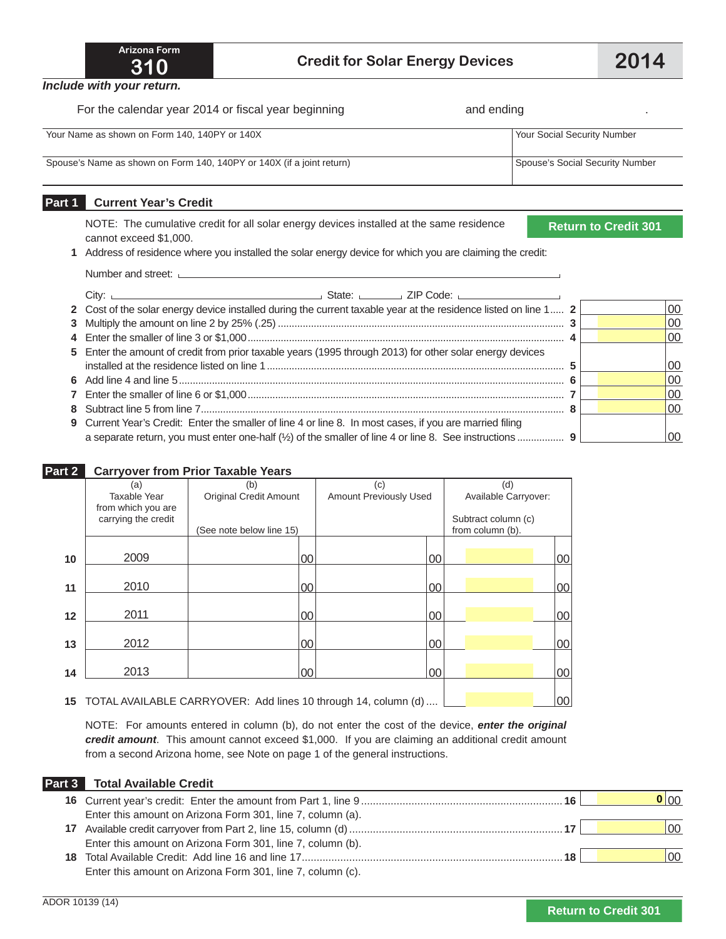*Include with your return.*

For the calendar year 2014 or fiscal year beginning **and ending the calendary of the calendary** and ending

Your Name as shown on Form 140, 140PY or 140X Your Social Security Number Spouse's Name as shown on Form 140, 140PY or 140X (if a joint return) Spouse's Social Security Number

### **Part 1 Current Year's Credit**

NOTE: The cumulative credit for all solar energy devices installed at the same residence cannot exceed \$1,000.

**Return to Credit 301**

 **1** Address of residence where you installed the solar energy device for which you are claiming the credit:

| Citv:                                                                                                           |     |
|-----------------------------------------------------------------------------------------------------------------|-----|
| 2 Cost of the solar energy device installed during the current taxable year at the residence listed on line 1 2 | 00  |
|                                                                                                                 | 00  |
|                                                                                                                 | 100 |
| 5 Enter the amount of credit from prior taxable years (1995 through 2013) for other solar energy devices        |     |
|                                                                                                                 | 00  |
|                                                                                                                 | 00  |
|                                                                                                                 | 100 |
|                                                                                                                 | 100 |
| 9 Current Year's Credit: Enter the smaller of line 4 or line 8. In most cases, if you are married filing        |     |
| a separate return, you must enter one-half (1/2) of the smaller of line 4 or line 8. See instructions  9        | ΩO  |

#### **Part 2 Carryover from Prior Taxable Years**

|    | (a)                 | (b)                                                            | (c)                           |    | (d)                  |         |
|----|---------------------|----------------------------------------------------------------|-------------------------------|----|----------------------|---------|
|    | Taxable Year        | <b>Original Credit Amount</b>                                  | <b>Amount Previously Used</b> |    | Available Carryover: |         |
|    | from which you are  |                                                                |                               |    |                      |         |
|    | carrying the credit |                                                                |                               |    | Subtract column (c)  |         |
|    |                     | (See note below line 15)                                       |                               |    | from column (b).     |         |
|    |                     |                                                                |                               |    |                      |         |
| 10 | 2009                | 00                                                             |                               | 00 |                      | $00\,$  |
|    |                     |                                                                |                               |    |                      |         |
| 11 | 2010                | 00                                                             |                               | 00 |                      | $00\,$  |
|    |                     |                                                                |                               |    |                      |         |
| 12 | 2011                | 00                                                             |                               | 00 |                      | $00\,$  |
|    |                     |                                                                |                               |    |                      |         |
| 13 | 2012                | 00                                                             |                               | 00 |                      | $00 \,$ |
|    |                     |                                                                |                               |    |                      |         |
| 14 | 2013                | 00                                                             |                               | 00 |                      | 00      |
|    |                     |                                                                |                               |    |                      |         |
| 15 |                     | TOTAL AVAILABLE CARRYOVER: Add lines 10 through 14, column (d) |                               |    |                      | $00\,$  |

NOTE: For amounts entered in column (b), do not enter the cost of the device, *enter the original credit amount*. This amount cannot exceed \$1,000. If you are claiming an additional credit amount from a second Arizona home, see Note on page 1 of the general instructions.

#### **Part 3 Total Available Credit**

|                                                            |  | 0 00         |
|------------------------------------------------------------|--|--------------|
| Enter this amount on Arizona Form 301, line 7, column (a). |  |              |
|                                                            |  | $ 00\rangle$ |
| Enter this amount on Arizona Form 301, line 7, column (b). |  |              |
|                                                            |  | 00           |
| Enter this amount on Arizona Form 301, line 7, column (c). |  |              |

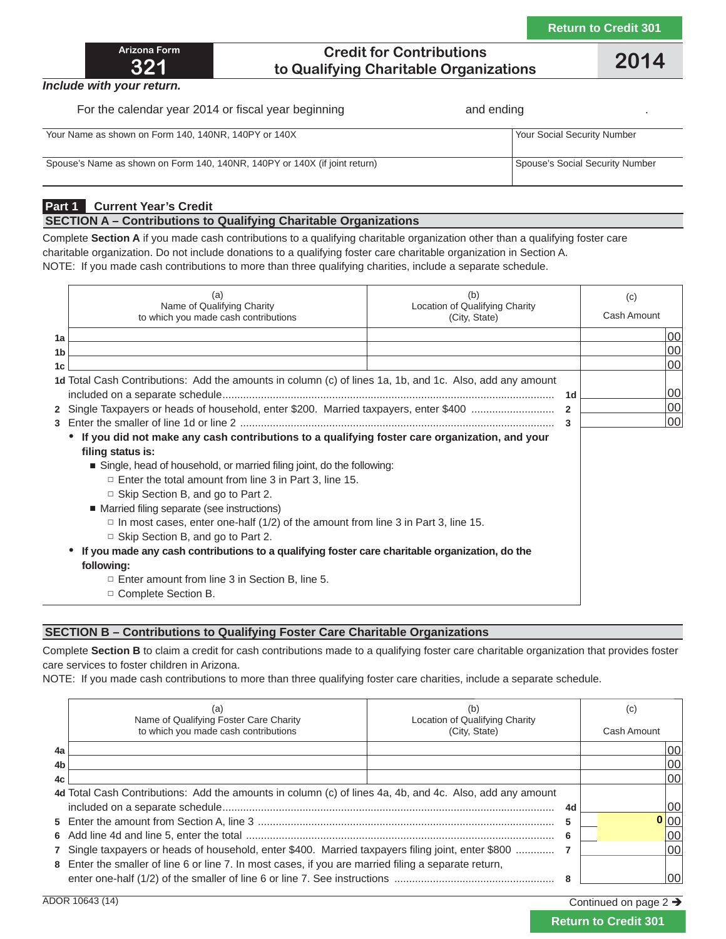

### **Credit for Contributions to Qualifying Charitable Organizations 2014**

*Include with your return.*

For the calendar year 2014 or fiscal year beginning **and ending the calendar of the calendar** and ending

| Your Name as shown on Form 140, 140NR, 140PY or 140X                       | Your Social Security Number     |
|----------------------------------------------------------------------------|---------------------------------|
| Spouse's Name as shown on Form 140, 140NR, 140PY or 140X (if joint return) | Spouse's Social Security Number |

### **Part 1 Current Year's Credit**

#### **SECTION A – Contributions to Qualifying Charitable Organizations**

Complete **Section A** if you made cash contributions to a qualifying charitable organization other than a qualifying foster care charitable organization. Do not include donations to a qualifying foster care charitable organization in Section A. NOTE: If you made cash contributions to more than three qualifying charities, include a separate schedule.

|                | (a)<br>Name of Qualifying Charity<br>to which you made cash contributions                                | (b)<br>Location of Qualifying Charity<br>(City, State) |                | (c)<br>Cash Amount |
|----------------|----------------------------------------------------------------------------------------------------------|--------------------------------------------------------|----------------|--------------------|
| 1a             |                                                                                                          |                                                        |                | 100                |
| 1 <sub>b</sub> |                                                                                                          |                                                        |                | 00                 |
| 1c             |                                                                                                          |                                                        |                | 100                |
|                | 1d Total Cash Contributions: Add the amounts in column (c) of lines 1a, 1b, and 1c. Also, add any amount |                                                        | 1d             | 100                |
|                | 2 Single Taxpayers or heads of household, enter \$200. Married taxpayers, enter \$400                    |                                                        | $\overline{2}$ | 00                 |
|                |                                                                                                          |                                                        | 3              | 00                 |
|                | • If you did not make any cash contributions to a qualifying foster care organization, and your          |                                                        |                |                    |
|                | filing status is:                                                                                        |                                                        |                |                    |
|                | Single, head of household, or married filing joint, do the following:                                    |                                                        |                |                    |
|                | $\Box$ Enter the total amount from line 3 in Part 3, line 15.                                            |                                                        |                |                    |
|                | $\Box$ Skip Section B, and go to Part 2.                                                                 |                                                        |                |                    |
|                | ■ Married filing separate (see instructions)                                                             |                                                        |                |                    |
|                | $\Box$ In most cases, enter one-half (1/2) of the amount from line 3 in Part 3, line 15.                 |                                                        |                |                    |
|                | $\Box$ Skip Section B, and go to Part 2.                                                                 |                                                        |                |                    |
|                | If you made any cash contributions to a qualifying foster care charitable organization, do the           |                                                        |                |                    |
|                | following:                                                                                               |                                                        |                |                    |
|                | $\Box$ Enter amount from line 3 in Section B, line 5.                                                    |                                                        |                |                    |
|                | $\Box$ Complete Section B.                                                                               |                                                        |                |                    |

#### **SECTION B – Contributions to Qualifying Foster Care Charitable Organizations**

Complete **Section B** to claim a credit for cash contributions made to a qualifying foster care charitable organization that provides foster care services to foster children in Arizona.

NOTE: If you made cash contributions to more than three qualifying foster care charities, include a separate schedule.

|                | Name of Qualifying Foster Care Charity<br>to which you made cash contributions                           | Location of Qualifying Charity<br>(City, State) | (c)<br>Cash Amount |
|----------------|----------------------------------------------------------------------------------------------------------|-------------------------------------------------|--------------------|
| 4a             |                                                                                                          |                                                 | 00                 |
| 4 <sub>b</sub> |                                                                                                          |                                                 | 00                 |
| 4c             |                                                                                                          |                                                 | 00                 |
|                | 4d Total Cash Contributions: Add the amounts in column (c) of lines 4a, 4b, and 4c. Also, add any amount |                                                 |                    |
|                |                                                                                                          | 4d                                              | 00                 |
|                |                                                                                                          |                                                 | 0 00               |
|                |                                                                                                          | 6                                               | 00                 |
|                | 7 Single taxpayers or heads of household, enter \$400. Married taxpayers filing joint, enter \$800       |                                                 | 00                 |
|                | 8 Enter the smaller of line 6 or line 7. In most cases, if you are married filing a separate return,     |                                                 |                    |
|                |                                                                                                          |                                                 | 00                 |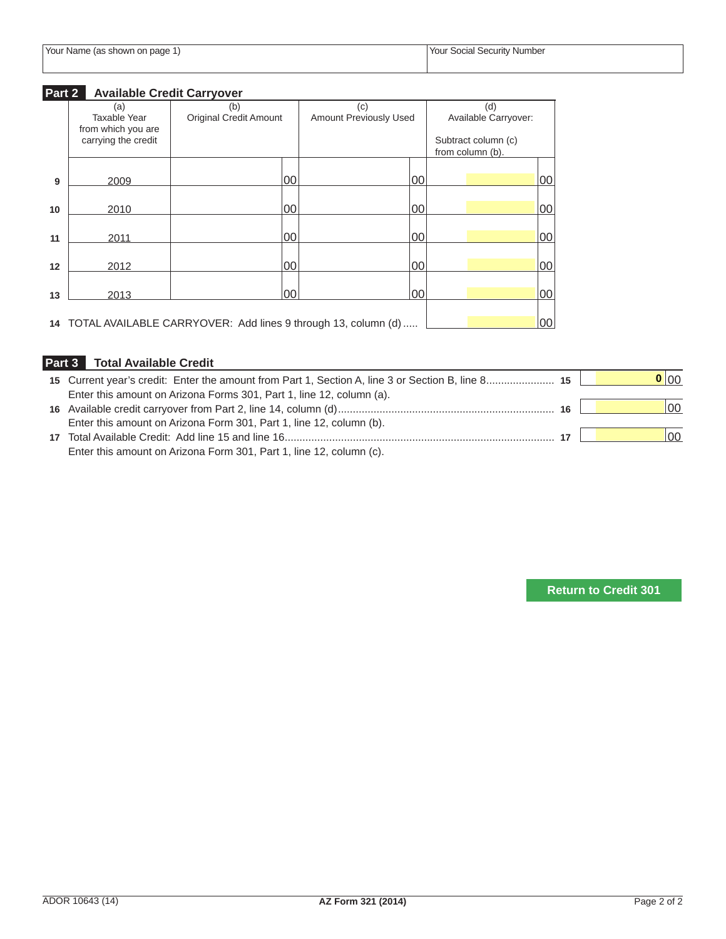### **Part 2 Available Credit Carryover**

|    | (a)                                       | (b)                                                              | (c)                    | (d)                                     |    |
|----|-------------------------------------------|------------------------------------------------------------------|------------------------|-----------------------------------------|----|
|    | Taxable Year                              | <b>Original Credit Amount</b>                                    | Amount Previously Used | Available Carryover:                    |    |
|    | from which you are<br>carrying the credit |                                                                  |                        | Subtract column (c)<br>from column (b). |    |
| 9  | 2009                                      | 00                                                               | 00                     |                                         | 00 |
|    |                                           |                                                                  |                        |                                         |    |
| 10 | 2010                                      | 00                                                               | 00                     |                                         | 00 |
| 11 | 2011                                      | 00                                                               | 00                     |                                         | 00 |
|    |                                           |                                                                  |                        |                                         |    |
| 12 | 2012                                      | 00                                                               | 00                     |                                         | 00 |
| 13 | 2013                                      | 00                                                               | 00                     |                                         | 00 |
|    |                                           |                                                                  |                        |                                         |    |
|    |                                           | 14 TOTAL AVAILABLE CARRYOVER: Add lines 9 through 13, column (d) |                        |                                         | 00 |

### **Part 3 Total Available Credit**

|                                                                      |    | 0 00         |
|----------------------------------------------------------------------|----|--------------|
| Enter this amount on Arizona Forms 301, Part 1, line 12, column (a). |    |              |
|                                                                      |    | 100          |
| Enter this amount on Arizona Form 301, Part 1, line 12, column (b).  |    |              |
|                                                                      | 17 | $ 00\rangle$ |
| Enter this amount on Arizona Form 301, Part 1, line 12, column (c).  |    |              |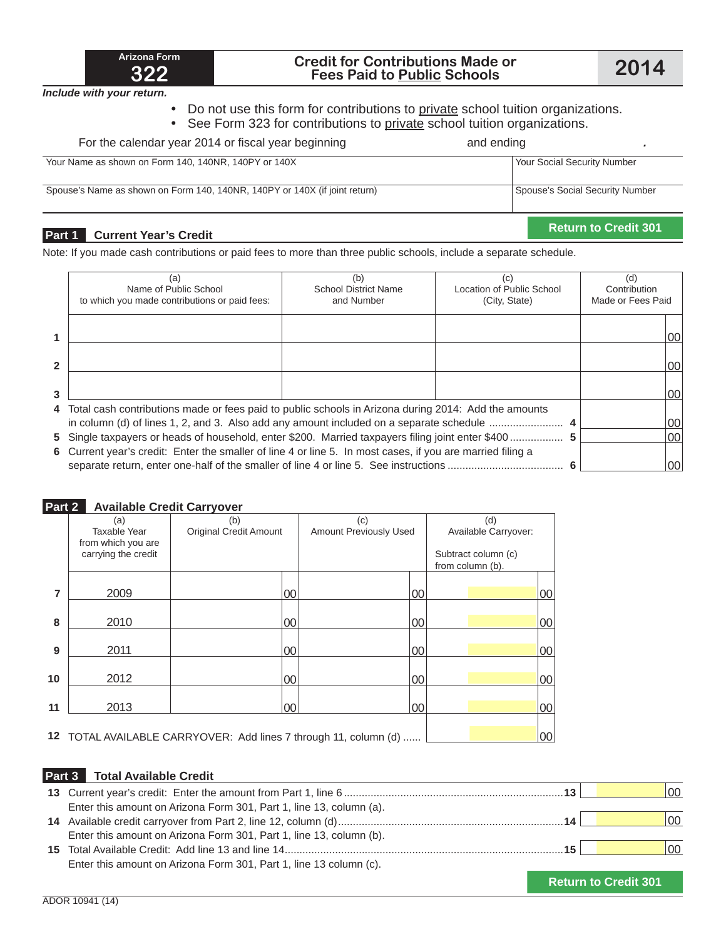

## **<sup>322</sup> Credit for Contributions Made or Fees Paid to Public Schools 2014**

*Include with your return.*

- Do not use this form for contributions to private school tuition organizations.
- See Form 323 for contributions to private school tuition organizations.

| Part 1<br><b>Current Year's Credit</b>                                     |                                 | <b>Return to Credit 301</b> |
|----------------------------------------------------------------------------|---------------------------------|-----------------------------|
| Spouse's Name as shown on Form 140, 140NR, 140PY or 140X (if joint return) | Spouse's Social Security Number |                             |
| Your Name as shown on Form 140, 140NR, 140PY or 140X                       | Your Social Security Number     |                             |
| For the calendar year 2014 or fiscal year beginning                        | and ending                      |                             |

Note: If you made cash contributions or paid fees to more than three public schools, include a separate schedule.

|                | (a)                                                                                                        | (b)                         | (c)                       | (d)               |    |
|----------------|------------------------------------------------------------------------------------------------------------|-----------------------------|---------------------------|-------------------|----|
|                | Name of Public School                                                                                      | <b>School District Name</b> | Location of Public School | Contribution      |    |
|                | to which you made contributions or paid fees:                                                              | and Number                  | (City, State)             | Made or Fees Paid |    |
|                |                                                                                                            |                             |                           |                   |    |
|                |                                                                                                            |                             |                           |                   | 00 |
|                |                                                                                                            |                             |                           |                   |    |
| $\mathfrak{p}$ |                                                                                                            |                             |                           |                   | 00 |
|                |                                                                                                            |                             |                           |                   |    |
| 3              |                                                                                                            |                             |                           |                   | 00 |
|                | 4 Total cash contributions made or fees paid to public schools in Arizona during 2014: Add the amounts     |                             |                           |                   |    |
|                | in column (d) of lines 1, 2, and 3. Also add any amount included on a separate schedule                    |                             |                           |                   | 00 |
|                | 5 Single taxpayers or heads of household, enter \$200. Married taxpayers filing joint enter \$400  5       |                             |                           |                   | 00 |
|                | 6 Current year's credit: Enter the smaller of line 4 or line 5. In most cases, if you are married filing a |                             |                           |                   |    |
|                |                                                                                                            |                             |                           |                   | 00 |

#### **Part 2 Available Credit Carryover**

|    | (a)                                       | (b)                           |        | (c)                    |    | (d)                  |    |
|----|-------------------------------------------|-------------------------------|--------|------------------------|----|----------------------|----|
|    | Taxable Year                              | <b>Original Credit Amount</b> |        | Amount Previously Used |    | Available Carryover: |    |
|    | from which you are<br>carrying the credit |                               |        |                        |    | Subtract column (c)  |    |
|    |                                           |                               |        |                        |    | from column (b).     |    |
|    |                                           |                               |        |                        |    |                      |    |
| 7  | 2009                                      |                               | 00     |                        | 00 |                      | 00 |
|    |                                           |                               |        |                        |    |                      |    |
| 8  | 2010                                      |                               | $00\,$ |                        | 00 |                      | 00 |
|    |                                           |                               |        |                        |    |                      |    |
| 9  | 2011                                      |                               | $00\,$ |                        | 00 |                      | 00 |
|    |                                           |                               |        |                        |    |                      |    |
| 10 | 2012                                      |                               | $00\,$ |                        | 00 |                      | 00 |
|    |                                           |                               |        |                        |    |                      |    |
| 11 | 2013                                      |                               | $00\,$ |                        | 00 |                      | 00 |
|    |                                           |                               |        |                        |    |                      |    |
|    |                                           |                               |        | .                      |    |                      |    |

**12** TOTAL AVAILABLE CARRYOVER: Add lines 7 through 11, column (d) ...... **1000 1000** 

#### **Part 3 Total Available Credit**

|                                                                     | 13. | <b>OO</b> |
|---------------------------------------------------------------------|-----|-----------|
| Enter this amount on Arizona Form 301, Part 1, line 13, column (a). |     |           |
|                                                                     | 14  | 100       |
| Enter this amount on Arizona Form 301, Part 1, line 13, column (b). |     |           |
|                                                                     | 15  | 00        |
| Enter this amount on Arizona Form 301, Part 1, line 13 column (c).  |     |           |
|                                                                     |     |           |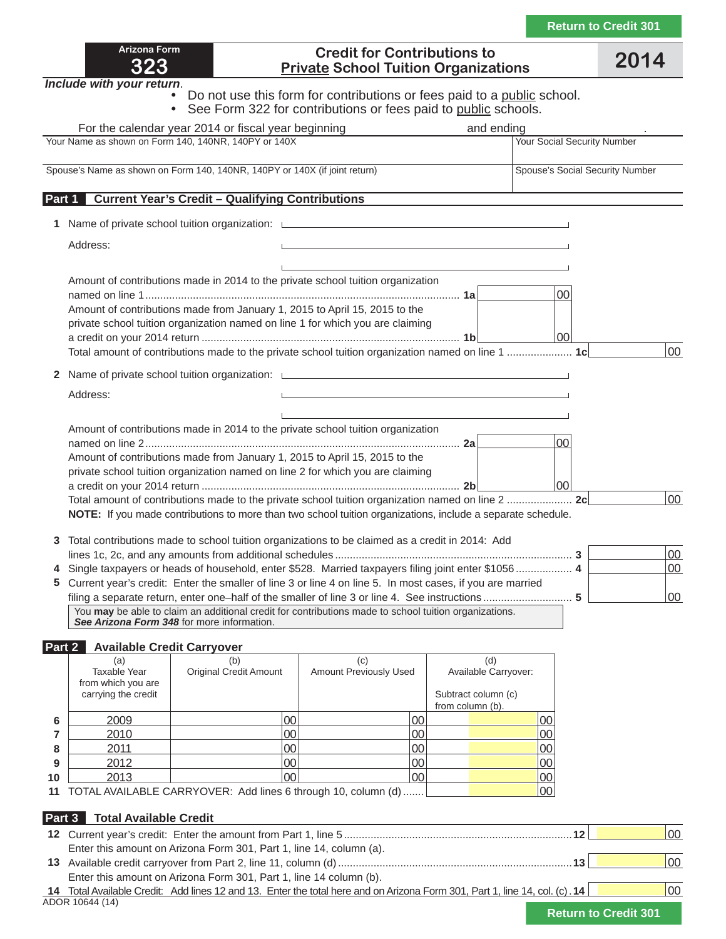| <b>Return to Credit 301</b> |  |  |
|-----------------------------|--|--|
|                             |  |  |

| Arizona Form |  |
|--------------|--|
| 323          |  |

### **Credit for Contributions to Private School Tuition Organizations 2014**

*Include with your return*.

**Example 1** Do not use this form for contributions or fees paid to a public school.

• See Form 322 for contributions or fees paid to public schools.

|        |                                                                         | For the calendar year 2014 or fiscal year beginning                        |                                                                                                                                                                                                                                                 | and ending                                         |                                    |                                 |          |
|--------|-------------------------------------------------------------------------|----------------------------------------------------------------------------|-------------------------------------------------------------------------------------------------------------------------------------------------------------------------------------------------------------------------------------------------|----------------------------------------------------|------------------------------------|---------------------------------|----------|
|        |                                                                         | Your Name as shown on Form 140, 140NR, 140PY or 140X                       |                                                                                                                                                                                                                                                 |                                                    | <b>Your Social Security Number</b> |                                 |          |
|        |                                                                         | Spouse's Name as shown on Form 140, 140NR, 140PY or 140X (if joint return) |                                                                                                                                                                                                                                                 |                                                    |                                    | Spouse's Social Security Number |          |
| Part 1 |                                                                         | <b>Current Year's Credit - Qualifying Contributions</b>                    |                                                                                                                                                                                                                                                 |                                                    |                                    |                                 |          |
|        |                                                                         |                                                                            | 1 Name of private school tuition organization: <u>Land Community Community Community Community Community Community</u>                                                                                                                          |                                                    |                                    |                                 |          |
|        | Address:                                                                |                                                                            | <u> 1980 - Johann Stein, marwolaethau a bhann an t-Amhair an t-Amhair an t-Amhair an t-Amhair an t-Amhair an t-A</u>                                                                                                                            |                                                    |                                    |                                 |          |
|        |                                                                         | Amount of contributions made from January 1, 2015 to April 15, 2015 to the | Amount of contributions made in 2014 to the private school tuition organization<br>private school tuition organization named on line 1 for which you are claiming                                                                               |                                                    | $00\,$<br>100                      |                                 | 00       |
| 2      |                                                                         |                                                                            | Name of private school tuition organization: Letter and the state of private school tuition organization:                                                                                                                                       |                                                    |                                    |                                 |          |
|        | Address:                                                                |                                                                            |                                                                                                                                                                                                                                                 |                                                    |                                    |                                 |          |
|        |                                                                         |                                                                            | Amount of contributions made in 2014 to the private school tuition organization<br>Amount of contributions made from January 1, 2015 to April 15, 2015 to the<br>private school tuition organization named on line 2 for which you are claiming |                                                    | 00 <br>00                          |                                 |          |
|        |                                                                         |                                                                            |                                                                                                                                                                                                                                                 |                                                    |                                    |                                 | 00       |
| 3      |                                                                         |                                                                            | <b>NOTE:</b> If you made contributions to more than two school tuition organizations, include a separate schedule.<br>Total contributions made to school tuition organizations to be claimed as a credit in 2014: Add                           |                                                    |                                    |                                 |          |
|        |                                                                         |                                                                            | Single taxpayers or heads of household, enter \$528. Married taxpayers filing joint enter \$1056 4                                                                                                                                              |                                                    |                                    |                                 | 00<br>00 |
|        |                                                                         |                                                                            | 5 Current year's credit: Enter the smaller of line 3 or line 4 on line 5. In most cases, if you are married                                                                                                                                     |                                                    |                                    |                                 |          |
|        |                                                                         | See Arizona Form 348 for more information.                                 | filing a separate return, enter one-half of the smaller of line 3 or line 4. See instructions5<br>You may be able to claim an additional credit for contributions made to school tuition organizations.                                         |                                                    |                                    |                                 | 00       |
|        | Part 2<br><b>Available Credit Carryover</b>                             |                                                                            |                                                                                                                                                                                                                                                 |                                                    |                                    |                                 |          |
|        | (a)<br><b>Taxable Year</b><br>from which you are<br>carrying the credit | (b)<br><b>Original Credit Amount</b>                                       | (c)<br>Amount Previously Used                                                                                                                                                                                                                   | (d)<br>Available Carryover:<br>Subtract column (c) |                                    |                                 |          |

|    |      |                                                                     |    | from column (b). |            |
|----|------|---------------------------------------------------------------------|----|------------------|------------|
|    | 2009 |                                                                     | ŰŰ |                  |            |
|    | 2010 |                                                                     | OC |                  |            |
|    | 2011 |                                                                     | OC |                  |            |
|    | 2012 |                                                                     | 0C |                  |            |
| 10 | 2013 |                                                                     | 0C |                  |            |
|    |      | 44 TOTAL AVAILADLE OADDVOVED. A -1-Line - O through 40 reduces (-1) |    |                  | $\sqrt{2}$ |

**11** TOTAL AVAILABLE CARRYOVER: Add lines 6 through 10, column (d) ....... **1000** [00]

### **Part 3 Total Available Credit**

|                                                                                                                             | 00 |
|-----------------------------------------------------------------------------------------------------------------------------|----|
| Enter this amount on Arizona Form 301, Part 1, line 14, column (a).                                                         |    |
|                                                                                                                             | 00 |
| Enter this amount on Arizona Form 301, Part 1, line 14 column (b).                                                          |    |
| 14 Total Available Credit: Add lines 12 and 13. Enter the total here and on Arizona Form 301, Part 1, line 14, col. (c). 14 | 00 |
| ADOR 10644 (14)                                                                                                             |    |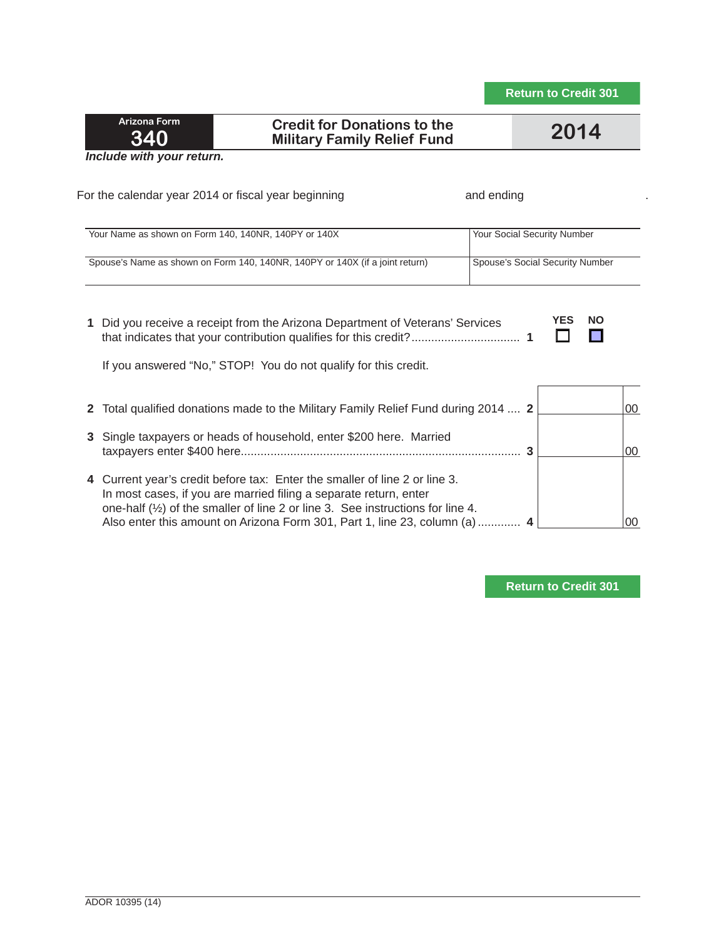### **Credit for Donations to the Military Family Relief Fund 2014**

*Include with your return.*

| For the calendar year 2014 or fiscal year beginning                                                                                                                                                                                                                                                                        | and ending                      |
|----------------------------------------------------------------------------------------------------------------------------------------------------------------------------------------------------------------------------------------------------------------------------------------------------------------------------|---------------------------------|
| Your Name as shown on Form 140, 140NR, 140PY or 140X                                                                                                                                                                                                                                                                       | Your Social Security Number     |
| Spouse's Name as shown on Form 140, 140NR, 140PY or 140X (if a joint return)                                                                                                                                                                                                                                               | Spouse's Social Security Number |
| Did you receive a receipt from the Arizona Department of Veterans' Services<br>1.<br>If you answered "No," STOP! You do not qualify for this credit.                                                                                                                                                                       | <b>YES</b><br><b>NO</b>         |
| Total qualified donations made to the Military Family Relief Fund during 2014  2<br>2                                                                                                                                                                                                                                      | 00                              |
| Single taxpayers or heads of household, enter \$200 here. Married<br>3                                                                                                                                                                                                                                                     | $00\,$                          |
| Current year's credit before tax: Enter the smaller of line 2 or line 3.<br>4<br>In most cases, if you are married filing a separate return, enter<br>one-half $(\frac{1}{2})$ of the smaller of line 2 or line 3. See instructions for line 4.<br>Also enter this amount on Arizona Form 301, Part 1, line 23, column (a) | 00                              |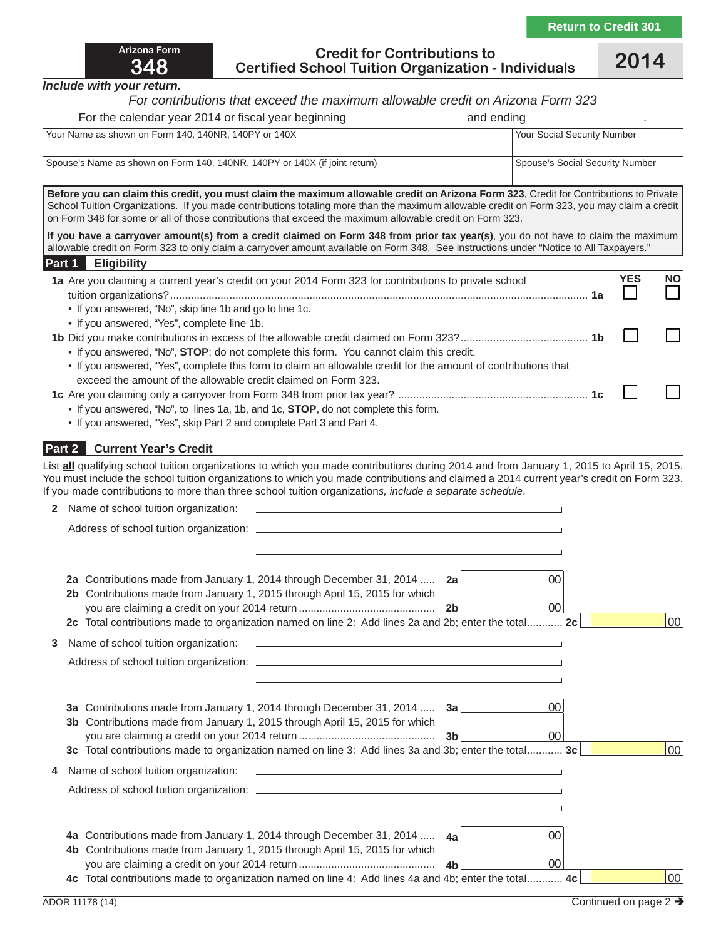| <b>Arizona Form</b> |
|---------------------|
| 348                 |

#### **Credit for Contributions to Certified School Tuition Organization - Individuals 2014**

*Include with your return.*

#### *For contributions that exceed the maximum allowable credit on Arizona Form 323*

| Your Social Security Number |                                                                                                                                                                                                                                                                                                                                     |                                                                                                                                                                                                                                                                                                                                                                                                                                                                                                                                                                                                        |
|-----------------------------|-------------------------------------------------------------------------------------------------------------------------------------------------------------------------------------------------------------------------------------------------------------------------------------------------------------------------------------|--------------------------------------------------------------------------------------------------------------------------------------------------------------------------------------------------------------------------------------------------------------------------------------------------------------------------------------------------------------------------------------------------------------------------------------------------------------------------------------------------------------------------------------------------------------------------------------------------------|
|                             |                                                                                                                                                                                                                                                                                                                                     |                                                                                                                                                                                                                                                                                                                                                                                                                                                                                                                                                                                                        |
|                             |                                                                                                                                                                                                                                                                                                                                     |                                                                                                                                                                                                                                                                                                                                                                                                                                                                                                                                                                                                        |
|                             |                                                                                                                                                                                                                                                                                                                                     |                                                                                                                                                                                                                                                                                                                                                                                                                                                                                                                                                                                                        |
|                             |                                                                                                                                                                                                                                                                                                                                     |                                                                                                                                                                                                                                                                                                                                                                                                                                                                                                                                                                                                        |
|                             | <b>YES</b>                                                                                                                                                                                                                                                                                                                          | <b>NO</b>                                                                                                                                                                                                                                                                                                                                                                                                                                                                                                                                                                                              |
|                             |                                                                                                                                                                                                                                                                                                                                     |                                                                                                                                                                                                                                                                                                                                                                                                                                                                                                                                                                                                        |
|                             |                                                                                                                                                                                                                                                                                                                                     |                                                                                                                                                                                                                                                                                                                                                                                                                                                                                                                                                                                                        |
|                             |                                                                                                                                                                                                                                                                                                                                     |                                                                                                                                                                                                                                                                                                                                                                                                                                                                                                                                                                                                        |
|                             |                                                                                                                                                                                                                                                                                                                                     |                                                                                                                                                                                                                                                                                                                                                                                                                                                                                                                                                                                                        |
|                             | on Form 348 for some or all of those contributions that exceed the maximum allowable credit on Form 323.<br>1a Are you claiming a current year's credit on your 2014 Form 323 for contributions to private school<br>• If you answered, "Yes", complete this form to claim an allowable credit for the amount of contributions that | Spouse's Social Security Number<br>Before you can claim this credit, you must claim the maximum allowable credit on Arizona Form 323, Credit for Contributions to Private<br>School Tuition Organizations. If you made contributions totaling more than the maximum allowable credit on Form 323, you may claim a credit<br>If you have a carryover amount(s) from a credit claimed on Form 348 from prior tax year(s), you do not have to claim the maximum<br>allowable credit on Form 323 to only claim a carryover amount available on Form 348. See instructions under "Notice to All Taxpayers." |

#### **Part 2 Current Year's Credit**

List **all** qualifying school tuition organizations to which you made contributions during 2014 and from January 1, 2015 to April 15, 2015. You must include the school tuition organizations to which you made contributions and claimed a 2014 current year's credit on Form 323. If you made contributions to more than three school tuition organization*s, include a separate schedule*.

|   | Name of school tuition organization:<br><u> Linda a contra a contra a contra a contra a contra a contra a contra a contra a contra a contra a contra a co</u>                                                                                                                                                                                                                                        |    |
|---|------------------------------------------------------------------------------------------------------------------------------------------------------------------------------------------------------------------------------------------------------------------------------------------------------------------------------------------------------------------------------------------------------|----|
|   | Address of school tuition organization: Letter and the content of the content of the content of the content of                                                                                                                                                                                                                                                                                       |    |
|   | and the control of the control of the control of the control of the control of the control of the control of the                                                                                                                                                                                                                                                                                     |    |
|   | 00<br>Contributions made from January 1, 2014 through December 31, 2014  2a<br>2a<br>2b Contributions made from January 1, 2015 through April 15, 2015 for which<br>$00 \,$<br>2 <sub>b</sub><br>2c Total contributions made to organization named on line 2: Add lines 2a and 2b; enter the total 2c                                                                                                | 00 |
| 3 | Name of school tuition organization:<br>and the control of the control of the control of the control of the control of the control of the control of the<br>Address of school tuition organization: Letter and the content of the content of the content of the content of<br>and the control of the control of the control of the control of the control of the control of the control of the       |    |
|   | 00<br><b>3a</b> Contributions made from January 1, 2014 through December 31, 2014 <b>3a</b><br>3b Contributions made from January 1, 2015 through April 15, 2015 for which<br>$00 \,$<br>3c Total contributions made to organization named on line 3: Add lines 3a and 3b; enter the total 3c                                                                                                        | 00 |
| 4 | Name of school tuition organization:<br><u> Listen et al. Al de la construcción de la construcción de la construcción de la construcción de la construcció</u><br>Address of school tuition organization: Letter and the content of the content of the content of the content of<br>and the control of the control of the control of the control of the control of the control of the control of the |    |
|   | 00<br>4a Contributions made from January 1, 2014 through December 31, 2014  4a<br>4b Contributions made from January 1, 2015 through April 15, 2015 for which<br>00<br>4c Total contributions made to organization named on line 4: Add lines 4a and 4b; enter the total 4c                                                                                                                          | 00 |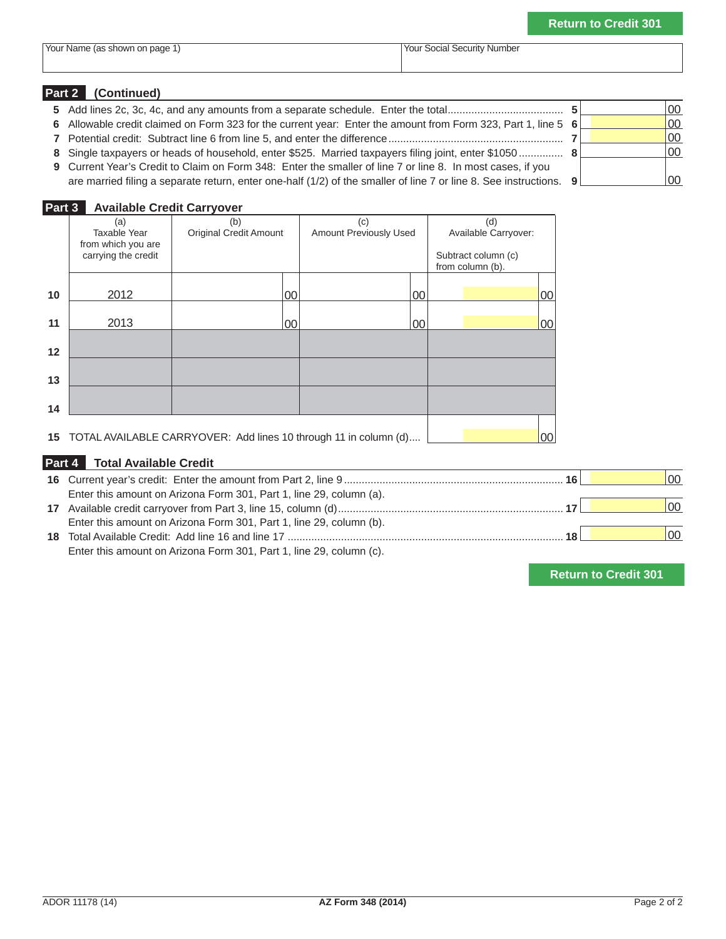| 'Your<br>page<br>r Name (as shown<br>.on | Your<br>Number<br>Security<br>social ' |
|------------------------------------------|----------------------------------------|

### **Part 2 (Continued) 5** Add lines 2c, 3c, 4c, and any amounts from a separate schedule. Enter the total ....................................... **5** 00

 Allowable credit claimed on Form 323 for the current year: Enter the amount from Form 323, Part 1, line 5 **6** 00 Potential credit: Subtract line 6 from line 5, and enter the difference ........................................................... **7** 00 Single taxpayers or heads of household, enter \$525. Married taxpayers filing joint, enter \$1050 ................ **8**  Current Year's Credit to Claim on Form 348: Enter the smaller of line 7 or line 8. In most cases, if you are married filing a separate return, enter one-half (1/2) of the smaller of line 7 or line 8. See instructions. **9** 00

### **Part 3 Available Credit Carryover**

|    | (a)<br>Taxable Year<br>from which you are<br>carrying the credit | (b)<br><b>Original Credit Amount</b> | (c)<br>Amount Previously Used                                    | (d)<br>Available Carryover:<br>Subtract column (c)<br>from column (b). |
|----|------------------------------------------------------------------|--------------------------------------|------------------------------------------------------------------|------------------------------------------------------------------------|
| 10 | 2012                                                             | 00                                   | 00                                                               | 00                                                                     |
| 11 | 2013                                                             | 00                                   | 00                                                               | 00                                                                     |
| 12 |                                                                  |                                      |                                                                  |                                                                        |
| 13 |                                                                  |                                      |                                                                  |                                                                        |
| 14 |                                                                  |                                      |                                                                  |                                                                        |
| 15 |                                                                  |                                      | TOTAL AVAILABLE CARRYOVER: Add lines 10 through 11 in column (d) | 00                                                                     |

### **Part 4 Total Available Credit**

|                                                                     | 16 I | 00 |
|---------------------------------------------------------------------|------|----|
| Enter this amount on Arizona Form 301, Part 1, line 29, column (a). |      |    |
|                                                                     |      | 00 |
| Enter this amount on Arizona Form 301, Part 1, line 29, column (b). |      |    |
|                                                                     | 18   | 00 |
| Enter this amount on Arizona Form 301, Part 1, line 29, column (c). |      |    |